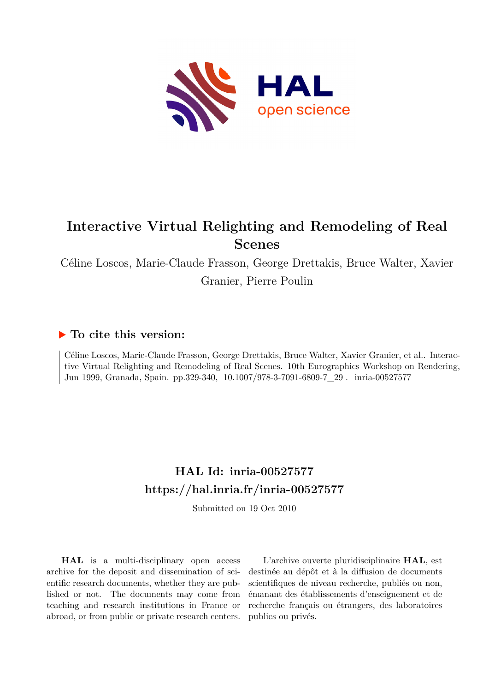

# **Interactive Virtual Relighting and Remodeling of Real Scenes**

Céline Loscos, Marie-Claude Frasson, George Drettakis, Bruce Walter, Xavier Granier, Pierre Poulin

# **To cite this version:**

Céline Loscos, Marie-Claude Frasson, George Drettakis, Bruce Walter, Xavier Granier, et al.. Interactive Virtual Relighting and Remodeling of Real Scenes. 10th Eurographics Workshop on Rendering, Jun 1999, Granada, Spain. pp.329-340, 10.1007/978-3-7091-6809-7\_29. inria-00527577

# **HAL Id: inria-00527577 <https://hal.inria.fr/inria-00527577>**

Submitted on 19 Oct 2010

**HAL** is a multi-disciplinary open access archive for the deposit and dissemination of scientific research documents, whether they are published or not. The documents may come from teaching and research institutions in France or abroad, or from public or private research centers.

L'archive ouverte pluridisciplinaire **HAL**, est destinée au dépôt et à la diffusion de documents scientifiques de niveau recherche, publiés ou non, émanant des établissements d'enseignement et de recherche français ou étrangers, des laboratoires publics ou privés.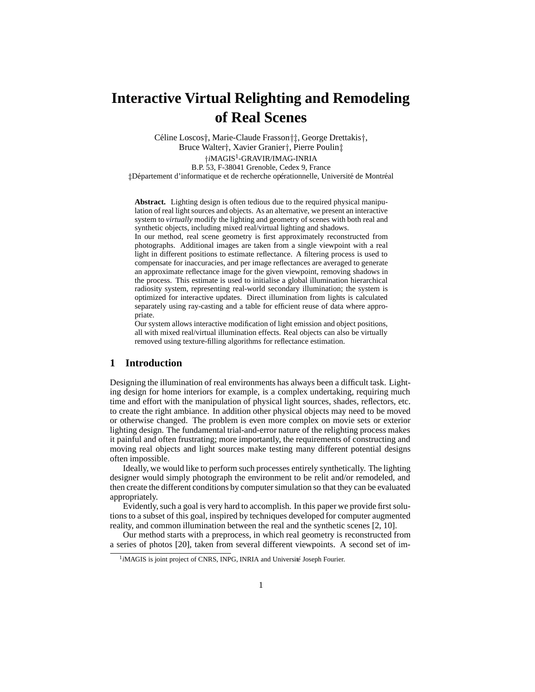# **Interactive Virtual Relighting and Remodeling of Real Scenes**

Céline Loscos†, Marie-Claude Frasson†‡, George Drettakis†, Bruce Walter†, Xavier Granier†, Pierre Poulin‡ y*i*MAGIS<sup>1</sup> -GRAVIR/IMAG-INRIA B.P. 53, F-38041 Grenoble, Cedex 9, France ‡Département d'informatique et de recherche opérationnelle, Université de Montréal

**Abstract.** Lighting design is often tedious due to the required physical manipulation of real light sources and objects. As an alternative, we present an interactive system to *virtually* modify the lighting and geometry of scenes with both real and synthetic objects, including mixed real/virtual lighting and shadows.

In our method, real scene geometry is first approximately reconstructed from photographs. Additional images are taken from a single viewpoint with a real light in different positions to estimate reflectance. A filtering process is used to compensate for inaccuracies, and per image reflectances are averaged to generate an approximate reflectance image for the given viewpoint, removing shadows in the process. This estimate is used to initialise a global illumination hierarchical radiosity system, representing real-world secondary illumination; the system is optimized for interactive updates. Direct illumination from lights is calculated separately using ray-casting and a table for efficient reuse of data where appropriate.

Our system allows interactive modification of light emission and object positions, all with mixed real/virtual illumination effects. Real objects can also be virtually removed using texture-filling algorithms for reflectance estimation.

### **1 Introduction**

Designing the illumination of real environments has always been a difficult task. Lighting design for home interiors for example, is a complex undertaking, requiring much time and effort with the manipulation of physical light sources, shades, reflectors, etc. to create the right ambiance. In addition other physical objects may need to be moved or otherwise changed. The problem is even more complex on movie sets or exterior lighting design. The fundamental trial-and-error nature of the relighting process makes it painful and often frustrating; more importantly, the requirements of constructing and moving real objects and light sources make testing many different potential designs often impossible.

Ideally, we would like to perform such processes entirely synthetically. The lighting designer would simply photograph the environment to be relit and/or remodeled, and then create the different conditions by computer simulation so that they can be evaluated appropriately.

Evidently, such a goal is very hard to accomplish. In this paper we provide first solutions to a subset of this goal, inspired by techniques developed for computer augmented reality, and common illumination between the real and the synthetic scenes [2, 10].

Our method starts with a preprocess, in which real geometry is reconstructed from a series of photos [20], taken from several different viewpoints. A second set of im-

<sup>&</sup>lt;sup>1</sup>*i*MAGIS is joint project of CNRS, INPG, INRIA and Université Joseph Fourier.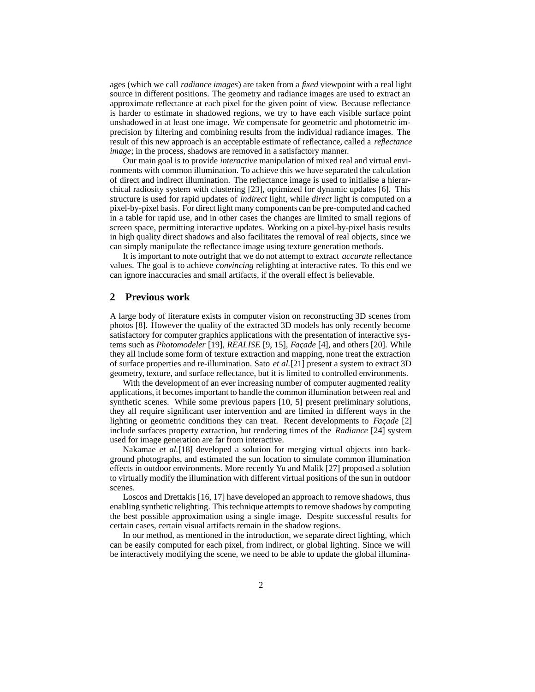ages (which we call *radiance images*) are taken from a *fixed* viewpoint with a real light source in different positions. The geometry and radiance images are used to extract an approximate reflectance at each pixel for the given point of view. Because reflectance is harder to estimate in shadowed regions, we try to have each visible surface point unshadowed in at least one image. We compensate for geometric and photometric imprecision by filtering and combining results from the individual radiance images. The result of this new approach is an acceptable estimate of reflectance, called a *reflectance image*; in the process, shadows are removed in a satisfactory manner.

Our main goal is to provide *interactive* manipulation of mixed real and virtual environments with common illumination. To achieve this we have separated the calculation of direct and indirect illumination. The reflectance image is used to initialise a hierarchical radiosity system with clustering [23], optimized for dynamic updates [6]. This structure is used for rapid updates of *indirect* light, while *direct* light is computed on a pixel-by-pixel basis. For direct light many components can be pre-computed and cached in a table for rapid use, and in other cases the changes are limited to small regions of screen space, permitting interactive updates. Working on a pixel-by-pixel basis results in high quality direct shadows and also facilitates the removal of real objects, since we can simply manipulate the reflectance image using texture generation methods.

It is important to note outright that we do not attempt to extract *accurate* reflectance values. The goal is to achieve *convincing* relighting at interactive rates. To this end we can ignore inaccuracies and small artifacts, if the overall effect is believable.

#### **2 Previous work**

A large body of literature exists in computer vision on reconstructing 3D scenes from photos [8]. However the quality of the extracted 3D models has only recently become satisfactory for computer graphics applications with the presentation of interactive systems such as *Photomodeler* [19], *REALISE* [9, 15], *Façade* [4], and others [20]. While they all include some form of texture extraction and mapping, none treat the extraction of surface properties and re-illumination. Sato *et al.*[21] present a system to extract 3D geometry, texture, and surface reflectance, but it is limited to controlled environments.

With the development of an ever increasing number of computer augmented reality applications, it becomes important to handle the common illumination between real and synthetic scenes. While some previous papers [10, 5] present preliminary solutions, they all require significant user intervention and are limited in different ways in the lighting or geometric conditions they can treat. Recent developments to *Façade* [2] include surfaces property extraction, but rendering times of the *Radiance* [24] system used for image generation are far from interactive.

Nakamae *et al.*[18] developed a solution for merging virtual objects into background photographs, and estimated the sun location to simulate common illumination effects in outdoor environments. More recently Yu and Malik [27] proposed a solution to virtually modify the illumination with different virtual positions of the sun in outdoor scenes.

Loscos and Drettakis [16, 17] have developed an approach to remove shadows, thus enabling synthetic relighting. This technique attempts to remove shadows by computing the best possible approximation using a single image. Despite successful results for certain cases, certain visual artifacts remain in the shadow regions.

In our method, as mentioned in the introduction, we separate direct lighting, which can be easily computed for each pixel, from indirect, or global lighting. Since we will be interactively modifying the scene, we need to be able to update the global illumina-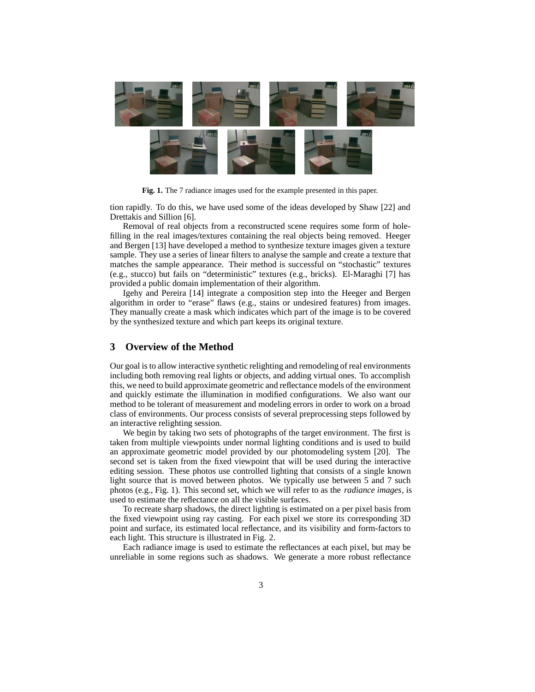

**Fig. 1.** The 7 radiance images used for the example presented in this paper.

tion rapidly. To do this, we have used some of the ideas developed by Shaw [22] and Drettakis and Sillion [6].

Removal of real objects from a reconstructed scene requires some form of holefilling in the real images/textures containing the real objects being removed. Heeger and Bergen [13] have developed a method to synthesize texture images given a texture sample. They use a series of linear filters to analyse the sample and create a texture that matches the sample appearance. Their method is successful on "stochastic" textures (e.g., stucco) but fails on "deterministic" textures (e.g., bricks). El-Maraghi [7] has provided a public domain implementation of their algorithm.

Igehy and Pereira [14] integrate a composition step into the Heeger and Bergen algorithm in order to "erase" flaws (e.g., stains or undesired features) from images. They manually create a mask which indicates which part of the image is to be covered by the synthesized texture and which part keeps its original texture.

## **3 Overview of the Method**

Our goal is to allow interactive synthetic relighting and remodeling of real environments including both removing real lights or objects, and adding virtual ones. To accomplish this, we need to build approximate geometric and reflectance models of the environment and quickly estimate the illumination in modified configurations. We also want our method to be tolerant of measurement and modeling errors in order to work on a broad class of environments. Our process consists of several preprocessing steps followed by an interactive relighting session.

We begin by taking two sets of photographs of the target environment. The first is taken from multiple viewpoints under normal lighting conditions and is used to build an approximate geometric model provided by our photomodeling system [20]. The second set is taken from the fixed viewpoint that will be used during the interactive editing session. These photos use controlled lighting that consists of a single known light source that is moved between photos. We typically use between 5 and 7 such photos (e.g., Fig. 1). This second set, which we will refer to as the *radiance images*, is used to estimate the reflectance on all the visible surfaces.

To recreate sharp shadows, the direct lighting is estimated on a per pixel basis from the fixed viewpoint using ray casting. For each pixel we store its corresponding 3D point and surface, its estimated local reflectance, and its visibility and form-factors to each light. This structure is illustrated in Fig. 2.

Each radiance image is used to estimate the reflectances at each pixel, but may be unreliable in some regions such as shadows. We generate a more robust reflectance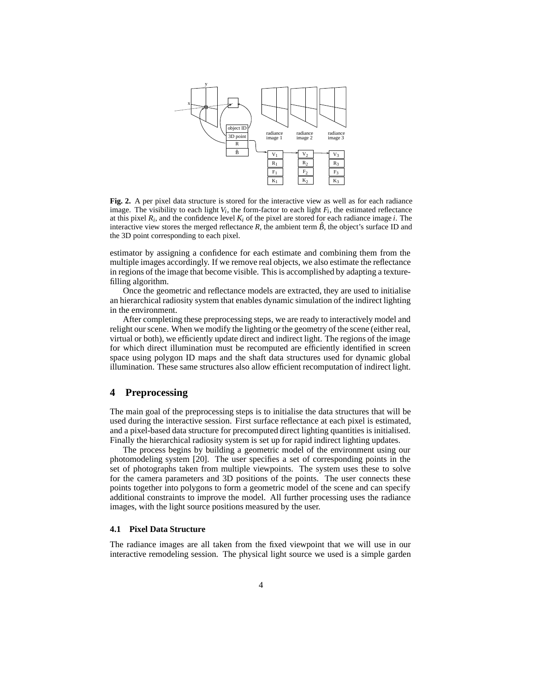

**Fig. 2.** A per pixel data structure is stored for the interactive view as well as for each radiance image. The visibility to each light  $V_i$ , the form-factor to each light  $F_i$ , the estimated reflectance at this pixel *R<sup>i</sup>* , and the confidence level *K<sup>i</sup>* of the pixel are stored for each radiance image *i*. The interactive view stores the merged reflectance *R*, the ambient term  $\hat{B}$ , the object's surface ID and the 3D point corresponding to each pixel.

estimator by assigning a confidence for each estimate and combining them from the multiple images accordingly. If we remove real objects, we also estimate the reflectance in regions of the image that become visible. This is accomplished by adapting a texturefilling algorithm.

Once the geometric and reflectance models are extracted, they are used to initialise an hierarchical radiosity system that enables dynamic simulation of the indirect lighting in the environment.

After completing these preprocessing steps, we are ready to interactively model and relight our scene. When we modify the lighting or the geometry of the scene (either real, virtual or both), we efficiently update direct and indirect light. The regions of the image for which direct illumination must be recomputed are efficiently identified in screen space using polygon ID maps and the shaft data structures used for dynamic global illumination. These same structures also allow efficient recomputation of indirect light.

## **4 Preprocessing**

The main goal of the preprocessing steps is to initialise the data structures that will be used during the interactive session. First surface reflectance at each pixel is estimated, and a pixel-based data structure for precomputed direct lighting quantities is initialised. Finally the hierarchical radiosity system is set up for rapid indirect lighting updates.

The process begins by building a geometric model of the environment using our photomodeling system [20]. The user specifies a set of corresponding points in the set of photographs taken from multiple viewpoints. The system uses these to solve for the camera parameters and 3D positions of the points. The user connects these points together into polygons to form a geometric model of the scene and can specify additional constraints to improve the model. All further processing uses the radiance images, with the light source positions measured by the user.

#### **4.1 Pixel Data Structure**

The radiance images are all taken from the fixed viewpoint that we will use in our interactive remodeling session. The physical light source we used is a simple garden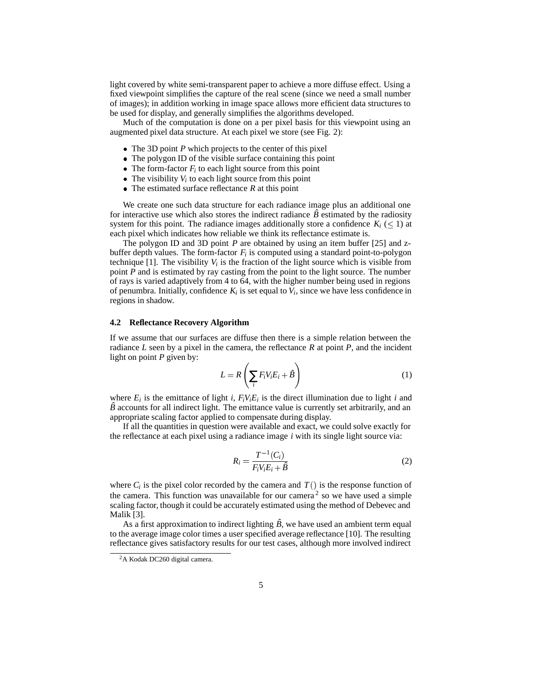light covered by white semi-transparent paper to achieve a more diffuse effect. Using a fixed viewpoint simplifies the capture of the real scene (since we need a small number of images); in addition working in image space allows more efficient data structures to be used for display, and generally simplifies the algorithms developed.

Much of the computation is done on a per pixel basis for this viewpoint using an augmented pixel data structure. At each pixel we store (see Fig. 2):

- The 3D point *P* which projects to the center of this pixel
- The polygon ID of the visible surface containing this point
- The form-factor  $F_i$  to each light source from this point
- The visibility  $V_i$  to each light source from this point
- The estimated surface reflectance *R* at this point

We create one such data structure for each radiance image plus an additional one for interactive use which also stores the indirect radiance  $\hat{B}$  estimated by the radiosity system for this point. The radiance images additionally store a confidence  $K_i$  ( $\leq 1$ ) at each pixel which indicates how reliable we think its reflectance estimate is.

The polygon ID and 3D point *P* are obtained by using an item buffer [25] and zbuffer depth values. The form-factor  $F_i$  is computed using a standard point-to-polygon technique [1]. The visibility  $V_i$  is the fraction of the light source which is visible from point *P* and is estimated by ray casting from the point to the light source. The number of rays is varied adaptively from 4 to 64, with the higher number being used in regions of penumbra. Initially, confidence  $K_i$  is set equal to  $V_i$ , since we have less confidence in regions in shadow.

#### **4.2 Reflectance Recovery Algorithm**

If we assume that our surfaces are diffuse then there is a simple relation between the radiance *L* seen by a pixel in the camera, the reflectance *R* at point *P*, and the incident light on point *P* given by:

 $\overline{\phantom{a}}$ 

$$
L = R\left(\sum_{i} F_i V_i E_i + \hat{B}\right)
$$
 (1)

!

where  $E_i$  is the emittance of light *i*,  $F_iV_iE_i$  is the direct illumination due to light *i* and  $\hat{B}$  accounts for all indirect light. The emittance value is currently set arbitrarily, and an appropriate scaling factor applied to compensate during display.

If all the quantities in question were available and exact, we could solve exactly for the reflectance at each pixel using a radiance image *i* with its single light source via:

$$
R_i = \frac{T^{-1}(C_i)}{F_i V_i E_i + \hat{B}}
$$
 (2)

where  $C_i$  is the pixel color recorded by the camera and  $T()$  is the response function of the camera. This function was unavailable for our camera<sup>2</sup> so we have used a simple scaling factor, though it could be accurately estimated using the method of Debevec and Malik [3].

As a first approximation to indirect lighting  $\hat{B}$ , we have used an ambient term equal to the average image color times a user specified average reflectance [10]. The resulting reflectance gives satisfactory results for our test cases, although more involved indirect

<sup>2</sup>A Kodak DC260 digital camera.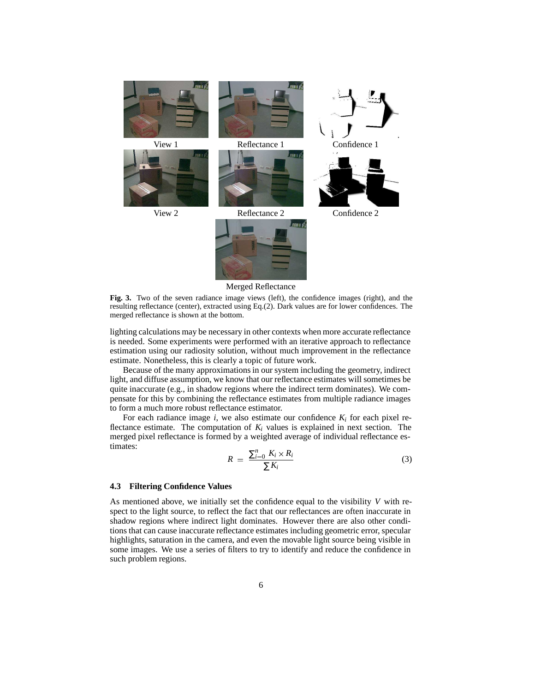

Merged Reflectance

Fig. 3. Two of the seven radiance image views (left), the confidence images (right), and the resulting reflectance (center), extracted using Eq.(2). Dark values are for lower confidences. The merged reflectance is shown at the bottom.

lighting calculations may be necessary in other contexts when more accurate reflectance is needed. Some experiments were performed with an iterative approach to reflectance estimation using our radiosity solution, without much improvement in the reflectance estimate. Nonetheless, this is clearly a topic of future work.

Because of the many approximations in our system including the geometry, indirect light, and diffuse assumption, we know that our reflectance estimates will sometimes be quite inaccurate (e.g., in shadow regions where the indirect term dominates). We compensate for this by combining the reflectance estimates from multiple radiance images to form a much more robust reflectance estimator.

For each radiance image  $i$ , we also estimate our confidence  $K_i$  for each pixel reflectance estimate. The computation of  $K_i$  values is explained in next section. The merged pixel reflectance is formed by a weighted average of individual reflectance estimates:

$$
R = \frac{\sum_{i=0}^{n} K_i \times R_i}{\sum K_i}
$$
 (3)

#### **4.3 Filtering Confidence Values**

As mentioned above, we initially set the confidence equal to the visibility *V* with respect to the light source, to reflect the fact that our reflectances are often inaccurate in shadow regions where indirect light dominates. However there are also other conditions that can cause inaccurate reflectance estimates including geometric error, specular highlights, saturation in the camera, and even the movable light source being visible in some images. We use a series of filters to try to identify and reduce the confidence in such problem regions.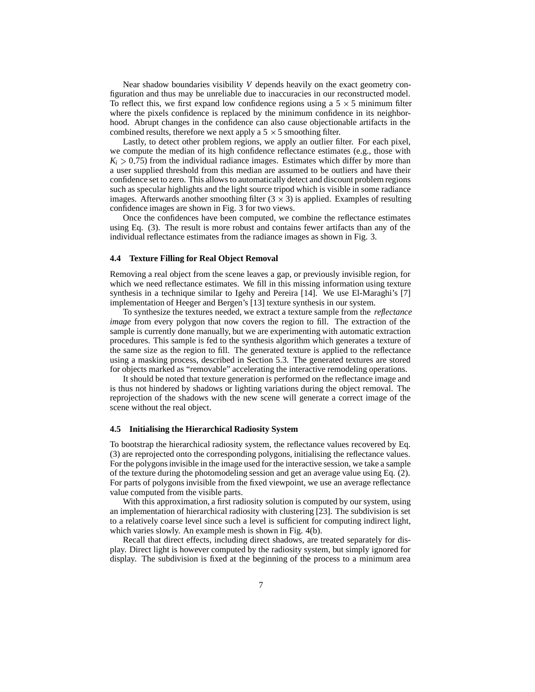Near shadow boundaries visibility *V* depends heavily on the exact geometry configuration and thus may be unreliable due to inaccuracies in our reconstructed model. To reflect this, we first expand low confidence regions using a  $5 \times 5$  minimum filter where the pixels confidence is replaced by the minimum confidence in its neighborhood. Abrupt changes in the confidence can also cause objectionable artifacts in the combined results, therefore we next apply a  $5 \times 5$  smoothing filter.

Lastly, to detect other problem regions, we apply an outlier filter. For each pixel, we compute the median of its high confidence reflectance estimates (e.g., those with  $K_i > 0.75$ ) from the individual radiance images. Estimates which differ by more than a user supplied threshold from this median are assumed to be outliers and have their confidence set to zero. This allows to automatically detect and discount problem regions such as specular highlights and the light source tripod which is visible in some radiance images. Afterwards another smoothing filter  $(3 \times 3)$  is applied. Examples of resulting confidence images are shown in Fig. 3 for two views.

Once the confidences have been computed, we combine the reflectance estimates using Eq. (3). The result is more robust and contains fewer artifacts than any of the individual reflectance estimates from the radiance images as shown in Fig. 3.

### **4.4 Texture Filling for Real Object Removal**

Removing a real object from the scene leaves a gap, or previously invisible region, for which we need reflectance estimates. We fill in this missing information using texture synthesis in a technique similar to Igehy and Pereira [14]. We use El-Maraghi's [7] implementation of Heeger and Bergen's [13] texture synthesis in our system.

To synthesize the textures needed, we extract a texture sample from the *reflectance image* from every polygon that now covers the region to fill. The extraction of the sample is currently done manually, but we are experimenting with automatic extraction procedures. This sample is fed to the synthesis algorithm which generates a texture of the same size as the region to fill. The generated texture is applied to the reflectance using a masking process, described in Section 5.3. The generated textures are stored for objects marked as "removable" accelerating the interactive remodeling operations.

It should be noted that texture generation is performed on the reflectance image and is thus not hindered by shadows or lighting variations during the object removal. The reprojection of the shadows with the new scene will generate a correct image of the scene without the real object.

#### **4.5 Initialising the Hierarchical Radiosity System**

To bootstrap the hierarchical radiosity system, the reflectance values recovered by Eq. (3) are reprojected onto the corresponding polygons, initialising the reflectance values. For the polygons invisible in the image used for the interactive session, we take a sample of the texture during the photomodeling session and get an average value using Eq. (2). For parts of polygons invisible from the fixed viewpoint, we use an average reflectance value computed from the visible parts.

With this approximation, a first radiosity solution is computed by our system, using an implementation of hierarchical radiosity with clustering [23]. The subdivision is set to a relatively coarse level since such a level is sufficient for computing indirect light, which varies slowly. An example mesh is shown in Fig. 4(b).

Recall that direct effects, including direct shadows, are treated separately for display. Direct light is however computed by the radiosity system, but simply ignored for display. The subdivision is fixed at the beginning of the process to a minimum area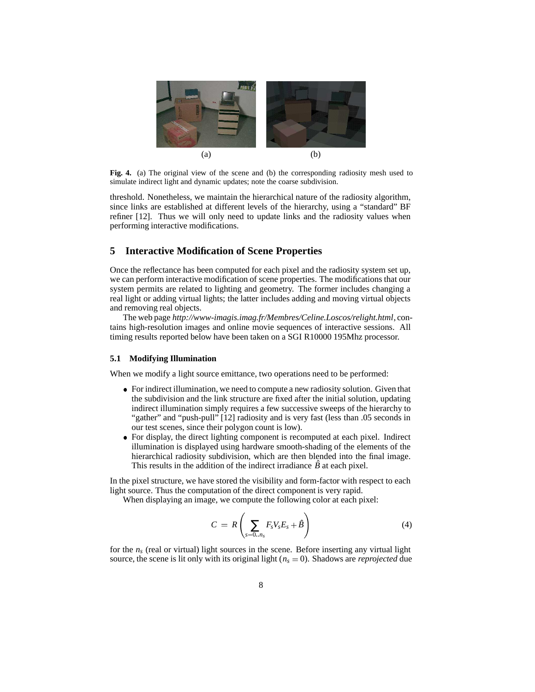

Fig. 4. (a) The original view of the scene and (b) the corresponding radiosity mesh used to simulate indirect light and dynamic updates; note the coarse subdivision.

threshold. Nonetheless, we maintain the hierarchical nature of the radiosity algorithm, since links are established at different levels of the hierarchy, using a "standard" BF refiner [12]. Thus we will only need to update links and the radiosity values when performing interactive modifications.

# **5 Interactive Modification of Scene Properties**

Once the reflectance has been computed for each pixel and the radiosity system set up, we can perform interactive modification of scene properties. The modifications that our system permits are related to lighting and geometry. The former includes changing a real light or adding virtual lights; the latter includes adding and moving virtual objects and removing real objects.

The web page *<http://www-imagis.imag.fr/Membres/Celine.Loscos/relight.html>*, contains high-resolution images and online movie sequences of interactive sessions. All timing results reported below have been taken on a SGI R10000 195Mhz processor.

#### **5.1 Modifying Illumination**

When we modify a light source emittance, two operations need to be performed:

- For indirect illumination, we need to compute a new radiosity solution. Given that the subdivision and the link structure are fixed after the initial solution, updating indirect illumination simply requires a few successive sweeps of the hierarchy to "gather" and "push-pull" [12] radiosity and is very fast (less than .05 seconds in our test scenes, since their polygon count is low).
- For display, the direct lighting component is recomputed at each pixel. Indirect illumination is displayed using hardware smooth-shading of the elements of the hierarchical radiosity subdivision, which are then blended into the final image. This results in the addition of the indirect irradiance  $\hat{B}$  at each pixel.

In the pixel structure, we have stored the visibility and form-factor with respect to each light source. Thus the computation of the direct component is very rapid.

When displaying an image, we compute the following color at each pixel:

 $\overline{\phantom{a}}$ 

$$
C = R\left(\sum_{s=0..n_s} F_s V_s E_s + \hat{B}\right)
$$
\n(4)

for the  $n<sub>s</sub>$  (real or virtual) light sources in the scene. Before inserting any virtual light source, the scene is lit only with its original light ( $n<sub>s</sub> = 0$ ). Shadows are *reprojected* due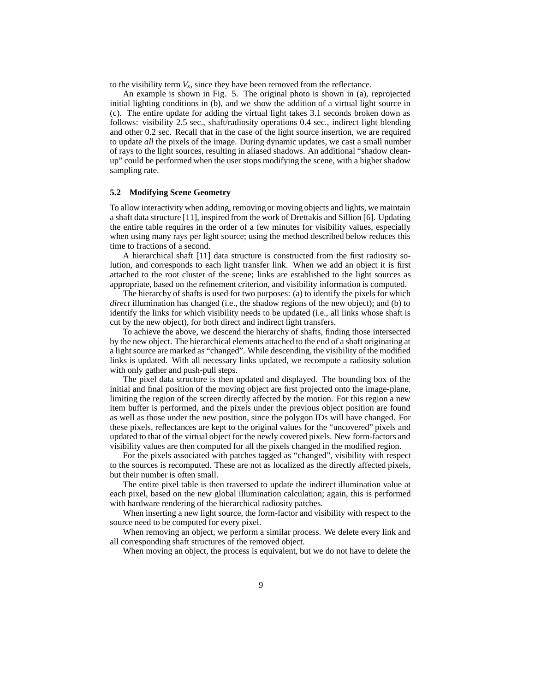to the visibility term  $V_s$ , since they have been removed from the reflectance.

An example is shown in Fig. 5. The original photo is shown in (a), reprojected initial lighting conditions in (b), and we show the addition of a virtual light source in (c). The entire update for adding the virtual light takes 3.1 seconds broken down as follows: visibility 2.5 sec., shaft/radiosity operations 0.4 sec., indirect light blending and other 0.2 sec. Recall that in the case of the light source insertion, we are required to update *all* the pixels of the image. During dynamic updates, we cast a small number of rays to the light sources, resulting in aliased shadows. An additional "shadow cleanup" could be performed when the user stops modifying the scene, with a higher shadow sampling rate.

#### **5.2 Modifying Scene Geometry**

To allow interactivity when adding, removing or moving objects and lights, we maintain a shaft data structure [11], inspired from the work of Drettakis and Sillion [6]. Updating the entire table requires in the order of a few minutes for visibility values, especially when using many rays per light source; using the method described below reduces this time to fractions of a second.

A hierarchical shaft [11] data structure is constructed from the first radiosity solution, and corresponds to each light transfer link. When we add an object it is first attached to the root cluster of the scene; links are established to the light sources as appropriate, based on the refinement criterion, and visibility information is computed.

The hierarchy of shafts is used for two purposes: (a) to identify the pixels for which *direct* illumination has changed (i.e., the shadow regions of the new object); and (b) to identify the links for which visibility needs to be updated (i.e., all links whose shaft is cut by the new object), for both direct and indirect light transfers.

To achieve the above, we descend the hierarchy of shafts, finding those intersected by the new object. The hierarchical elements attached to the end of a shaft originating at a light source are marked as "changed". While descending, the visibility of the modified links is updated. With all necessary links updated, we recompute a radiosity solution with only gather and push-pull steps.

The pixel data structure is then updated and displayed. The bounding box of the initial and final position of the moving object are first projected onto the image-plane, limiting the region of the screen directly affected by the motion. For this region a new item buffer is performed, and the pixels under the previous object position are found as well as those under the new position, since the polygon IDs will have changed. For these pixels, reflectances are kept to the original values for the "uncovered" pixels and updated to that of the virtual object for the newly covered pixels. New form-factors and visibility values are then computed for all the pixels changed in the modified region.

For the pixels associated with patches tagged as "changed", visibility with respect to the sources is recomputed. These are not as localized as the directly affected pixels, but their number is often small.

The entire pixel table is then traversed to update the indirect illumination value at each pixel, based on the new global illumination calculation; again, this is performed with hardware rendering of the hierarchical radiosity patches.

When inserting a new light source, the form-factor and visibility with respect to the source need to be computed for every pixel.

When removing an object, we perform a similar process. We delete every link and all corresponding shaft structures of the removed object.

When moving an object, the process is equivalent, but we do not have to delete the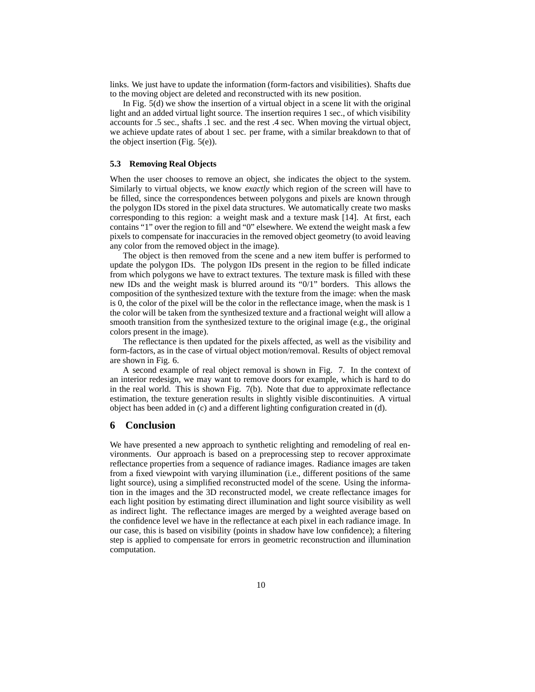links. We just have to update the information (form-factors and visibilities). Shafts due to the moving object are deleted and reconstructed with its new position.

In Fig. 5(d) we show the insertion of a virtual object in a scene lit with the original light and an added virtual light source. The insertion requires 1 sec., of which visibility accounts for .5 sec., shafts .1 sec. and the rest .4 sec. When moving the virtual object, we achieve update rates of about 1 sec. per frame, with a similar breakdown to that of the object insertion (Fig. 5(e)).

#### **5.3 Removing Real Objects**

When the user chooses to remove an object, she indicates the object to the system. Similarly to virtual objects, we know *exactly* which region of the screen will have to be filled, since the correspondences between polygons and pixels are known through the polygon IDs stored in the pixel data structures. We automatically create two masks corresponding to this region: a weight mask and a texture mask [14]. At first, each contains "1" over the region to fill and "0" elsewhere. We extend the weight mask a few pixels to compensate for inaccuracies in the removed object geometry (to avoid leaving any color from the removed object in the image).

The object is then removed from the scene and a new item buffer is performed to update the polygon IDs. The polygon IDs present in the region to be filled indicate from which polygons we have to extract textures. The texture mask is filled with these new IDs and the weight mask is blurred around its "0/1" borders. This allows the composition of the synthesized texture with the texture from the image: when the mask is 0, the color of the pixel will be the color in the reflectance image, when the mask is 1 the color will be taken from the synthesized texture and a fractional weight will allow a smooth transition from the synthesized texture to the original image (e.g., the original colors present in the image).

The reflectance is then updated for the pixels affected, as well as the visibility and form-factors, as in the case of virtual object motion/removal. Results of object removal are shown in Fig. 6.

A second example of real object removal is shown in Fig. 7. In the context of an interior redesign, we may want to remove doors for example, which is hard to do in the real world. This is shown Fig. 7(b). Note that due to approximate reflectance estimation, the texture generation results in slightly visible discontinuities. A virtual object has been added in (c) and a different lighting configuration created in (d).

#### **6 Conclusion**

We have presented a new approach to synthetic relighting and remodeling of real environments. Our approach is based on a preprocessing step to recover approximate reflectance properties from a sequence of radiance images. Radiance images are taken from a fixed viewpoint with varying illumination (i.e., different positions of the same light source), using a simplified reconstructed model of the scene. Using the information in the images and the 3D reconstructed model, we create reflectance images for each light position by estimating direct illumination and light source visibility as well as indirect light. The reflectance images are merged by a weighted average based on the confidence level we have in the reflectance at each pixel in each radiance image. In our case, this is based on visibility (points in shadow have low confidence); a filtering step is applied to compensate for errors in geometric reconstruction and illumination computation.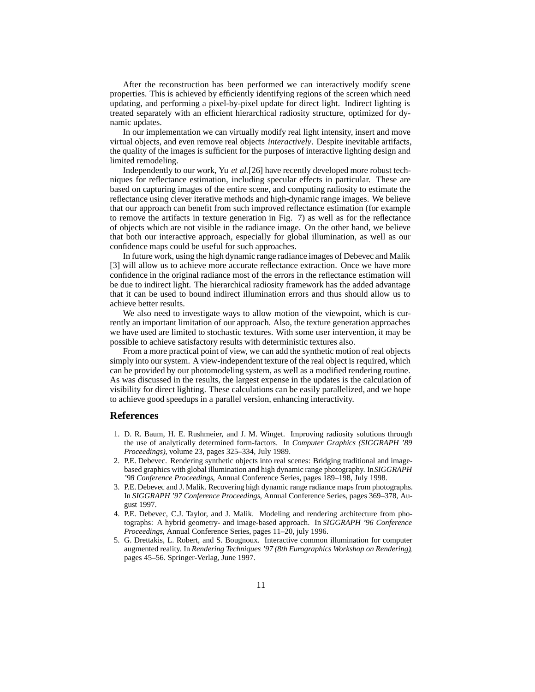After the reconstruction has been performed we can interactively modify scene properties. This is achieved by efficiently identifying regions of the screen which need updating, and performing a pixel-by-pixel update for direct light. Indirect lighting is treated separately with an efficient hierarchical radiosity structure, optimized for dynamic updates.

In our implementation we can virtually modify real light intensity, insert and move virtual objects, and even remove real objects *interactively*. Despite inevitable artifacts, the quality of the images is sufficient for the purposes of interactive lighting design and limited remodeling.

Independently to our work, Yu *et al.*[26] have recently developed more robust techniques for reflectance estimation, including specular effects in particular. These are based on capturing images of the entire scene, and computing radiosity to estimate the reflectance using clever iterative methods and high-dynamic range images. We believe that our approach can benefit from such improved reflectance estimation (for example to remove the artifacts in texture generation in Fig. 7) as well as for the reflectance of objects which are not visible in the radiance image. On the other hand, we believe that both our interactive approach, especially for global illumination, as well as our confidence maps could be useful for such approaches.

In future work, using the high dynamic range radiance images of Debevec and Malik [3] will allow us to achieve more accurate reflectance extraction. Once we have more confidence in the original radiance most of the errors in the reflectance estimation will be due to indirect light. The hierarchical radiosity framework has the added advantage that it can be used to bound indirect illumination errors and thus should allow us to achieve better results.

We also need to investigate ways to allow motion of the viewpoint, which is currently an important limitation of our approach. Also, the texture generation approaches we have used are limited to stochastic textures. With some user intervention, it may be possible to achieve satisfactory results with deterministic textures also.

From a more practical point of view, we can add the synthetic motion of real objects simply into our system. A view-independent texture of the real object is required, which can be provided by our photomodeling system, as well as a modified rendering routine. As was discussed in the results, the largest expense in the updates is the calculation of visibility for direct lighting. These calculations can be easily parallelized, and we hope to achieve good speedups in a parallel version, enhancing interactivity.

#### **References**

- 1. D. R. Baum, H. E. Rushmeier, and J. M. Winget. Improving radiosity solutions through the use of analytically determined form-factors. In *Computer Graphics (SIGGRAPH '89 Proceedings)*, volume 23, pages 325–334, July 1989.
- 2. P.E. Debevec. Rendering synthetic objects into real scenes: Bridging traditional and imagebased graphics with global illumination and high dynamic range photography. In*SIGGRAPH '98 Conference Proceedings*, Annual Conference Series, pages 189–198, July 1998.
- 3. P.E. Debevec and J. Malik. Recovering high dynamic range radiance maps from photographs. In *SIGGRAPH '97 Conference Proceedings*, Annual Conference Series, pages 369–378, August 1997.
- 4. P.E. Debevec, C.J. Taylor, and J. Malik. Modeling and rendering architecture from photographs: A hybrid geometry- and image-based approach. In *SIGGRAPH '96 Conference Proceedings*, Annual Conference Series, pages 11–20, july 1996.
- 5. G. Drettakis, L. Robert, and S. Bougnoux. Interactive common illumination for computer augmented reality. In *Rendering Techniques '97 (8th Eurographics Workshop on Rendering)*, pages 45–56. Springer-Verlag, June 1997.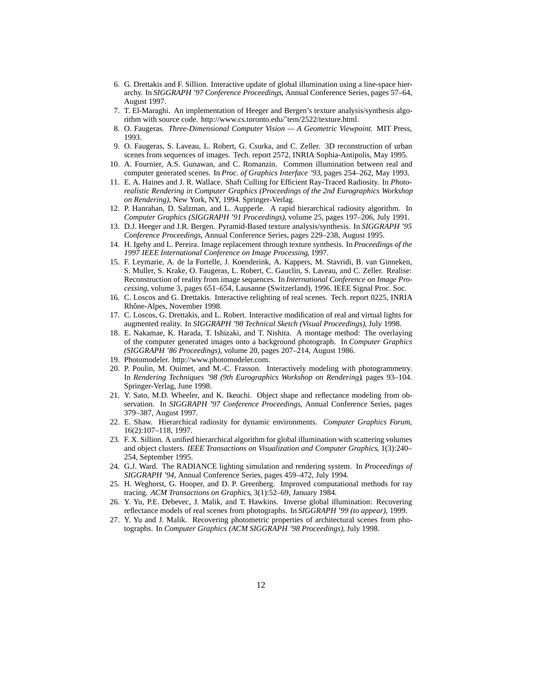- 6. G. Drettakis and F. Sillion. Interactive update of global illumination using a line-space hierarchy. In *SIGGRAPH '97 Conference Proceedings*, Annual Conference Series, pages 57–64, August 1997.
- 7. T. El-Maraghi. An implementation of Heeger and Bergen's texture analysis/synthesis algorithm with source code. http://www.cs.toronto.edu/˜tem/2522/texture.html.
- 8. O. Faugeras. *Three-Dimensional Computer Vision A Geometric Viewpoint*. MIT Press, 1993.
- 9. O. Faugeras, S. Laveau, L. Robert, G. Csurka, and C. Zeller. 3D reconstruction of urban scenes from sequences of images. Tech. report 2572, INRIA Sophia-Antipolis, May 1995.
- 10. A. Fournier, A.S. Gunawan, and C. Romanzin. Common illumination between real and computer generated scenes. In *Proc. of Graphics Interface '93*, pages 254–262, May 1993.
- 11. E. A. Haines and J. R. Wallace. Shaft Culling for Efficient Ray-Traced Radiosity. In *Photorealistic Rendering in Computer Graphics (Proceedings of the 2nd Eurographics Workshop on Rendering)*, New York, NY, 1994. Springer-Verlag.
- 12. P. Hanrahan, D. Salzman, and L. Aupperle. A rapid hierarchical radiosity algorithm. In *Computer Graphics (SIGGRAPH '91 Proceedings)*, volume 25, pages 197–206, July 1991.
- 13. D.J. Heeger and J.R. Bergen. Pyramid-Based texture analysis/synthesis. In *SIGGRAPH '95 Conference Proceedings*, Annual Conference Series, pages 229–238, August 1995.
- 14. H. Igehy and L. Pereira. Image replacement through texture synthesis. In *Proceedings of the 1997 IEEE International Conference on Image Processing*, 1997.
- 15. F. Leymarie, A. de la Fortelle, J. Koenderink, A. Kappers, M. Stavridi, B. van Ginneken, S. Muller, S. Krake, O. Faugeras, L. Robert, C. Gauclin, S. Laveau, and C. Zeller. Realise: Reconstruction of reality from image sequences. In *International Conference on Image Processing*, volume 3, pages 651–654, Lausanne (Switzerland), 1996. IEEE Signal Proc. Soc.
- 16. C. Loscos and G. Drettakis. Interactive relighting of real scenes. Tech. report 0225, INRIA Rhône-Alpes, November 1998.
- 17. C. Loscos, G. Drettakis, and L. Robert. Interactive modification of real and virtual lights for augmented reality. In *SIGGRAPH '98 Technical Sketch (Visual Proceedings)*, July 1998.
- 18. E. Nakamae, K. Harada, T. Ishizaki, and T. Nishita. A montage method: The overlaying of the computer generated images onto a background photograph. In *Computer Graphics (SIGGRAPH '86 Proceedings)*, volume 20, pages 207–214, August 1986.
- 19. Photomodeler. http://www.photomodeler.com.
- 20. P. Poulin, M. Ouimet, and M.-C. Frasson. Interactively modeling with photogrammetry. In *Rendering Techniques '98 (9th Eurographics Workshop on Rendering)*, pages 93–104. Springer-Verlag, June 1998.
- 21. Y. Sato, M.D. Wheeler, and K. Ikeuchi. Object shape and reflectance modeling from observation. In *SIGGRAPH '97 Conference Proceedings*, Annual Conference Series, pages 379–387, August 1997.
- 22. E. Shaw. Hierarchical radiosity for dynamic environments. *Computer Graphics Forum*, 16(2):107–118, 1997.
- 23. F. X. Sillion. A unified hierarchical algorithm for global illumination with scattering volumes and object clusters. *IEEE Transactions on Visualization and Computer Graphics*, 1(3):240– 254, September 1995.
- 24. G.J. Ward. The RADIANCE lighting simulation and rendering system. In *Proceedings of SIGGRAPH '94*, Annual Conference Series, pages 459–472, July 1994.
- 25. H. Weghorst, G. Hooper, and D. P. Greenberg. Improved computational methods for ray tracing. *ACM Transactions on Graphics*, 3(1):52–69, January 1984.
- 26. Y. Yu, P.E. Debevec, J. Malik, and T. Hawkins. Inverse global illumination: Recovering reflectance models of real scenes from photographs. In *SIGGRAPH '99 (to appear)*, 1999.
- 27. Y. Yu and J. Malik. Recovering photometric properties of architectural scenes from photographs. In *Computer Graphics (ACM SIGGRAPH '98 Proceedings)*, July 1998.